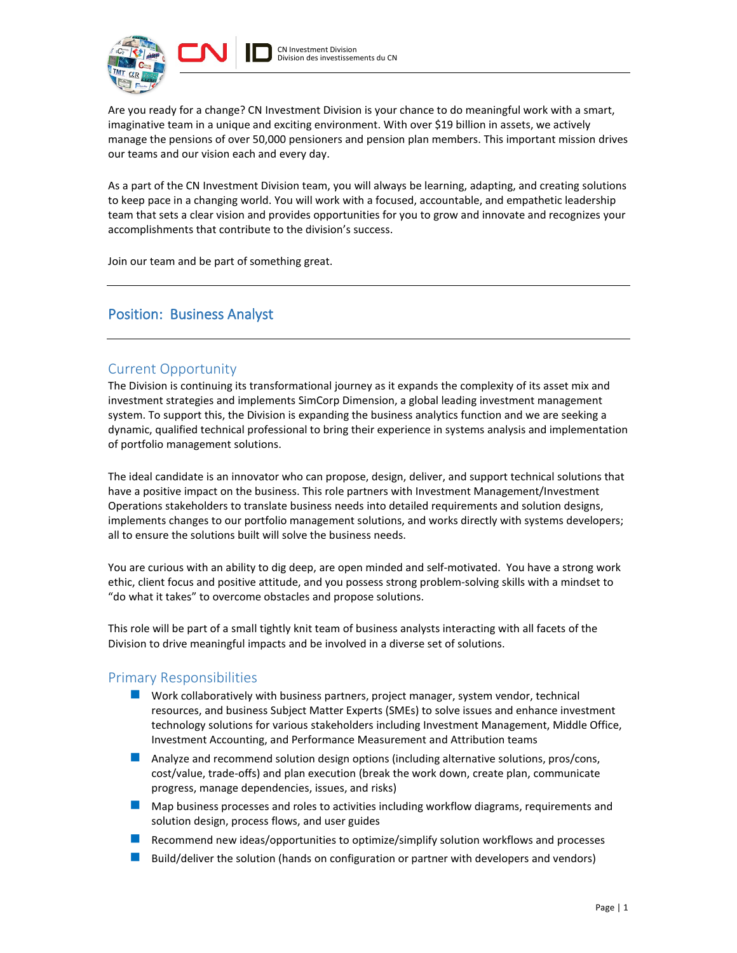

Are you ready for a change? CN Investment Division is your chance to do meaningful work with a smart, imaginative team in a unique and exciting environment. With over \$19 billion in assets, we actively manage the pensions of over 50,000 pensioners and pension plan members. This important mission drives our teams and our vision each and every day.

As a part of the CN Investment Division team, you will always be learning, adapting, and creating solutions to keep pace in a changing world. You will work with a focused, accountable, and empathetic leadership team that sets a clear vision and provides opportunities for you to grow and innovate and recognizes your accomplishments that contribute to the division's success.

Join our team and be part of something great.

# Position: Business Analyst

## Current Opportunity

The Division is continuing its transformational journey as it expands the complexity of its asset mix and investment strategies and implements SimCorp Dimension, a global leading investment management system. To support this, the Division is expanding the business analytics function and we are seeking a dynamic, qualified technical professional to bring their experience in systems analysis and implementation of portfolio management solutions.

The ideal candidate is an innovator who can propose, design, deliver, and support technical solutions that have a positive impact on the business. This role partners with Investment Management/Investment Operations stakeholders to translate business needs into detailed requirements and solution designs, implements changes to our portfolio management solutions, and works directly with systems developers; all to ensure the solutions built will solve the business needs.

You are curious with an ability to dig deep, are open minded and self-motivated. You have a strong work ethic, client focus and positive attitude, and you possess strong problem-solving skills with a mindset to "do what it takes" to overcome obstacles and propose solutions.

This role will be part of a small tightly knit team of business analysts interacting with all facets of the Division to drive meaningful impacts and be involved in a diverse set of solutions.

# Primary Responsibilities

- **Nork collaboratively with business partners, project manager, system vendor, technical** resources, and business Subject Matter Experts (SMEs) to solve issues and enhance investment technology solutions for various stakeholders including Investment Management, Middle Office, Investment Accounting, and Performance Measurement and Attribution teams
- **Analyze and recommend solution design options (including alternative solutions, pros/cons,** cost/value, trade-offs) and plan execution (break the work down, create plan, communicate progress, manage dependencies, issues, and risks)
- **Map business processes and roles to activities including workflow diagrams, requirements and** solution design, process flows, and user guides
- **Recommend new ideas/opportunities to optimize/simplify solution workflows and processes**
- Build/deliver the solution (hands on configuration or partner with developers and vendors)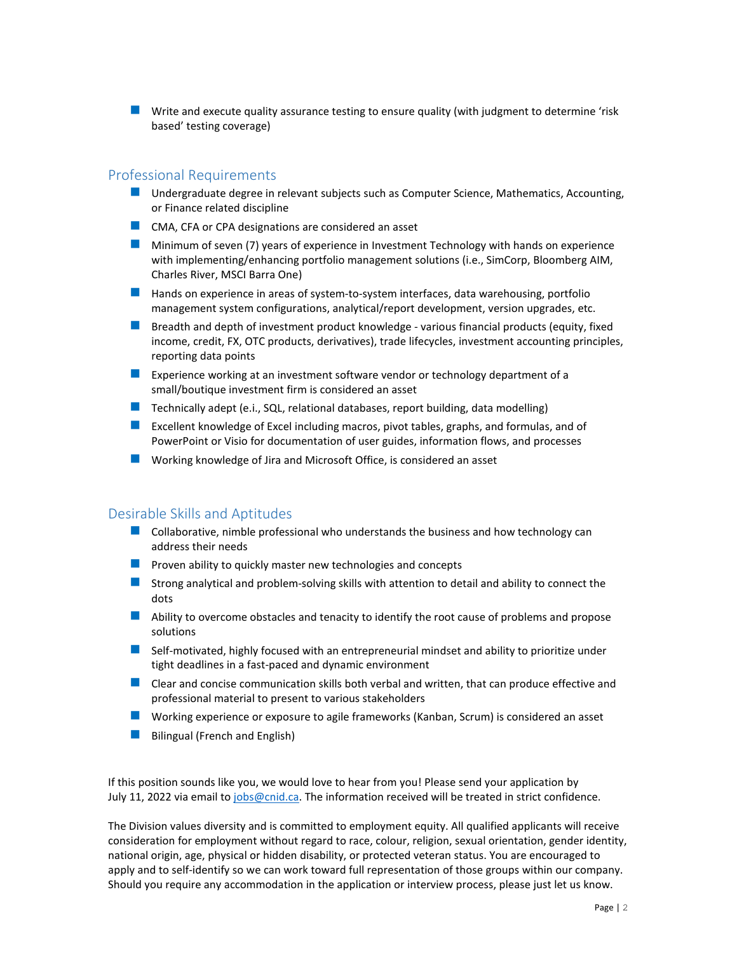**U** Write and execute quality assurance testing to ensure quality (with judgment to determine 'risk based' testing coverage)

## Professional Requirements

- **Undergraduate degree in relevant subjects such as Computer Science, Mathematics, Accounting,** or Finance related discipline
- **CMA, CFA or CPA designations are considered an asset**
- **Minimum of seven (7) years of experience in Investment Technology with hands on experience** with implementing/enhancing portfolio management solutions (i.e., SimCorp, Bloomberg AIM, Charles River, MSCI Barra One)
- **Hands on experience in areas of system-to-system interfaces, data warehousing, portfolio** management system configurations, analytical/report development, version upgrades, etc.
- **B** Breadth and depth of investment product knowledge various financial products (equity, fixed income, credit, FX, OTC products, derivatives), trade lifecycles, investment accounting principles, reporting data points
- **EXPERIENCE WORKING AT A 20 IN 2018 CONCOCO EXPERIENCE A** Experience working at an investment of a small/boutique investment firm is considered an asset
- **Technically adept (e.i., SQL, relational databases, report building, data modelling)**
- Excellent knowledge of Excel including macros, pivot tables, graphs, and formulas, and of PowerPoint or Visio for documentation of user guides, information flows, and processes
- **N** Working knowledge of Jira and Microsoft Office, is considered an asset

### Desirable Skills and Aptitudes

- $\blacksquare$  Collaborative, nimble professional who understands the business and how technology can address their needs
- **Proven ability to quickly master new technologies and concepts**
- Strong analytical and problem-solving skills with attention to detail and ability to connect the dots
- **Ability to overcome obstacles and tenacity to identify the root cause of problems and propose** solutions
- **Self-motivated, highly focused with an entrepreneurial mindset and ability to prioritize under** tight deadlines in a fast-paced and dynamic environment
- **E** Clear and concise communication skills both verbal and written, that can produce effective and professional material to present to various stakeholders
- Working experience or exposure to agile frameworks (Kanban, Scrum) is considered an asset
- Bilingual (French and English)

If this position sounds like you, we would love to hear from you! Please send your application by July 11, 2022 via email to [jobs@cnid.ca.](mailto:jobs@cnid.ca) The information received will be treated in strict confidence.

The Division values diversity and is committed to employment equity. All qualified applicants will receive consideration for employment without regard to race, colour, religion, sexual orientation, gender identity, national origin, age, physical or hidden disability, or protected veteran status. You are encouraged to apply and to self-identify so we can work toward full representation of those groups within our company. Should you require any accommodation in the application or interview process, please just let us know.